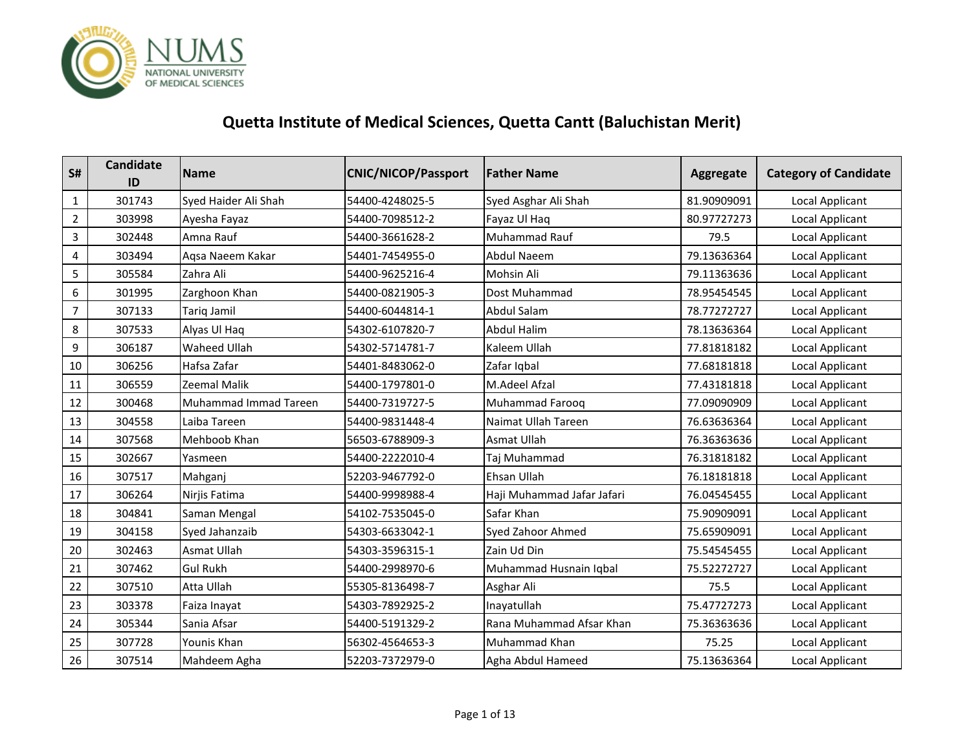

| S#               | <b>Candidate</b><br>ID | <b>Name</b>           | <b>CNIC/NICOP/Passport</b> | <b>Father Name</b>         | Aggregate   | <b>Category of Candidate</b> |
|------------------|------------------------|-----------------------|----------------------------|----------------------------|-------------|------------------------------|
| 1                | 301743                 | Syed Haider Ali Shah  | 54400-4248025-5            | Syed Asghar Ali Shah       | 81.90909091 | Local Applicant              |
| $\overline{2}$   | 303998                 | Ayesha Fayaz          | 54400-7098512-2            | Fayaz Ul Haq               | 80.97727273 | Local Applicant              |
| $\overline{3}$   | 302448                 | Amna Rauf             | 54400-3661628-2            | Muhammad Rauf              | 79.5        | <b>Local Applicant</b>       |
| 4                | 303494                 | Aqsa Naeem Kakar      | 54401-7454955-0            | Abdul Naeem                | 79.13636364 | Local Applicant              |
| 5                | 305584                 | Zahra Ali             | 54400-9625216-4            | Mohsin Ali                 | 79.11363636 | Local Applicant              |
| 6                | 301995                 | Zarghoon Khan         | 54400-0821905-3            | Dost Muhammad              | 78.95454545 | <b>Local Applicant</b>       |
| $\overline{7}$   | 307133                 | <b>Tariq Jamil</b>    | 54400-6044814-1            | <b>Abdul Salam</b>         | 78.77272727 | Local Applicant              |
| 8                | 307533                 | Alyas Ul Haq          | 54302-6107820-7            | Abdul Halim                | 78.13636364 | Local Applicant              |
| $\boldsymbol{9}$ | 306187                 | <b>Waheed Ullah</b>   | 54302-5714781-7            | Kaleem Ullah               | 77.81818182 | <b>Local Applicant</b>       |
| 10               | 306256                 | Hafsa Zafar           | 54401-8483062-0            | Zafar Iqbal                | 77.68181818 | Local Applicant              |
| 11               | 306559                 | Zeemal Malik          | 54400-1797801-0            | M.Adeel Afzal              | 77.43181818 | Local Applicant              |
| 12               | 300468                 | Muhammad Immad Tareen | 54400-7319727-5            | Muhammad Farooq            | 77.09090909 | Local Applicant              |
| 13               | 304558                 | Laiba Tareen          | 54400-9831448-4            | Naimat Ullah Tareen        | 76.63636364 | Local Applicant              |
| 14               | 307568                 | Mehboob Khan          | 56503-6788909-3            | Asmat Ullah                | 76.36363636 | Local Applicant              |
| 15               | 302667                 | Yasmeen               | 54400-2222010-4            | Taj Muhammad               | 76.31818182 | Local Applicant              |
| 16               | 307517                 | Mahganj               | 52203-9467792-0            | Ehsan Ullah                | 76.18181818 | Local Applicant              |
| 17               | 306264                 | Nirjis Fatima         | 54400-9998988-4            | Haji Muhammad Jafar Jafari | 76.04545455 | Local Applicant              |
| 18               | 304841                 | Saman Mengal          | 54102-7535045-0            | Safar Khan                 | 75.90909091 | Local Applicant              |
| 19               | 304158                 | Syed Jahanzaib        | 54303-6633042-1            | Syed Zahoor Ahmed          | 75.65909091 | Local Applicant              |
| 20               | 302463                 | <b>Asmat Ullah</b>    | 54303-3596315-1            | Zain Ud Din                | 75.54545455 | Local Applicant              |
| 21               | 307462                 | <b>Gul Rukh</b>       | 54400-2998970-6            | Muhammad Husnain Iqbal     | 75.52272727 | Local Applicant              |
| 22               | 307510                 | Atta Ullah            | 55305-8136498-7            | Asghar Ali                 | 75.5        | Local Applicant              |
| 23               | 303378                 | Faiza Inayat          | 54303-7892925-2            | Inayatullah                | 75.47727273 | Local Applicant              |
| 24               | 305344                 | Sania Afsar           | 54400-5191329-2            | Rana Muhammad Afsar Khan   | 75.36363636 | Local Applicant              |
| 25               | 307728                 | Younis Khan           | 56302-4564653-3            | Muhammad Khan              | 75.25       | Local Applicant              |
| 26               | 307514                 | Mahdeem Agha          | 52203-7372979-0            | Agha Abdul Hameed          | 75.13636364 | Local Applicant              |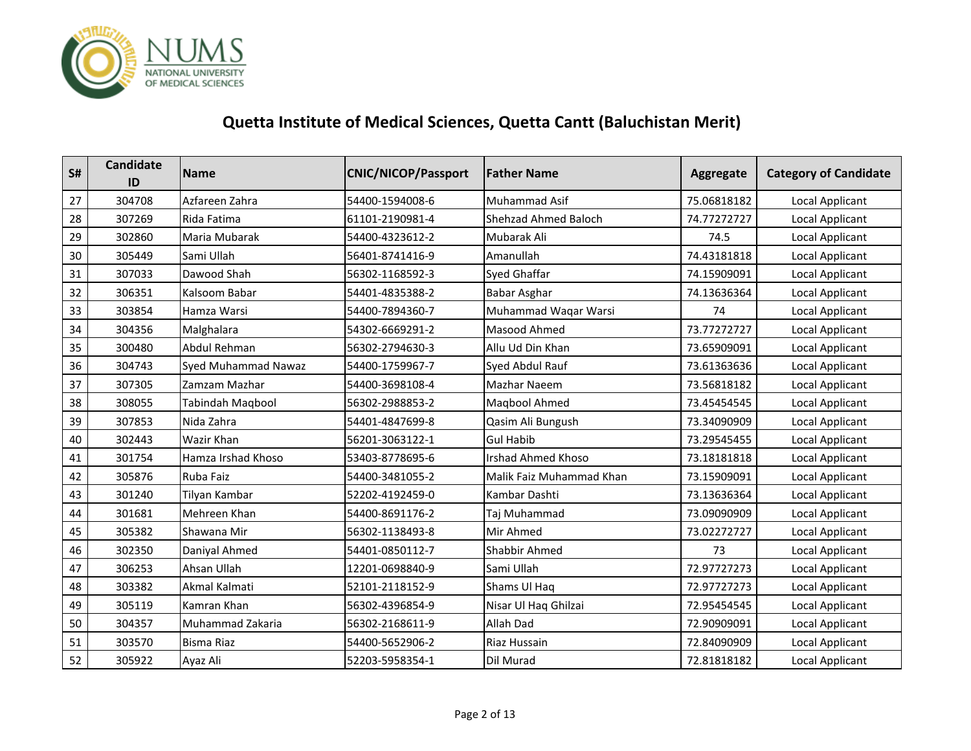

| S# | <b>Candidate</b><br>ID | <b>Name</b>             | <b>CNIC/NICOP/Passport</b> | <b>Father Name</b>          | Aggregate   | <b>Category of Candidate</b> |
|----|------------------------|-------------------------|----------------------------|-----------------------------|-------------|------------------------------|
| 27 | 304708                 | Azfareen Zahra          | 54400-1594008-6            | Muhammad Asif               | 75.06818182 | Local Applicant              |
| 28 | 307269                 | Rida Fatima             | 61101-2190981-4            | <b>Shehzad Ahmed Baloch</b> | 74.77272727 | Local Applicant              |
| 29 | 302860                 | Maria Mubarak           | 54400-4323612-2            | Mubarak Ali                 | 74.5        | Local Applicant              |
| 30 | 305449                 | Sami Ullah              | 56401-8741416-9            | Amanullah                   | 74.43181818 | Local Applicant              |
| 31 | 307033                 | Dawood Shah             | 56302-1168592-3            | <b>Syed Ghaffar</b>         | 74.15909091 | Local Applicant              |
| 32 | 306351                 | Kalsoom Babar           | 54401-4835388-2            | <b>Babar Asghar</b>         | 74.13636364 | Local Applicant              |
| 33 | 303854                 | Hamza Warsi             | 54400-7894360-7            | Muhammad Waqar Warsi        | 74          | <b>Local Applicant</b>       |
| 34 | 304356                 | Malghalara              | 54302-6669291-2            | Masood Ahmed                | 73.77272727 | Local Applicant              |
| 35 | 300480                 | Abdul Rehman            | 56302-2794630-3            | Allu Ud Din Khan            | 73.65909091 | Local Applicant              |
| 36 | 304743                 | Syed Muhammad Nawaz     | 54400-1759967-7            | Syed Abdul Rauf             | 73.61363636 | <b>Local Applicant</b>       |
| 37 | 307305                 | Zamzam Mazhar           | 54400-3698108-4            | Mazhar Naeem                | 73.56818182 | Local Applicant              |
| 38 | 308055                 | <b>Tabindah Maqbool</b> | 56302-2988853-2            | Maqbool Ahmed               | 73.45454545 | Local Applicant              |
| 39 | 307853                 | Nida Zahra              | 54401-4847699-8            | Qasim Ali Bungush           | 73.34090909 | <b>Local Applicant</b>       |
| 40 | 302443                 | Wazir Khan              | 56201-3063122-1            | <b>Gul Habib</b>            | 73.29545455 | Local Applicant              |
| 41 | 301754                 | Hamza Irshad Khoso      | 53403-8778695-6            | <b>Irshad Ahmed Khoso</b>   | 73.18181818 | Local Applicant              |
| 42 | 305876                 | Ruba Faiz               | 54400-3481055-2            | Malik Faiz Muhammad Khan    | 73.15909091 | <b>Local Applicant</b>       |
| 43 | 301240                 | Tilyan Kambar           | 52202-4192459-0            | Kambar Dashti               | 73.13636364 | Local Applicant              |
| 44 | 301681                 | Mehreen Khan            | 54400-8691176-2            | Taj Muhammad                | 73.09090909 | Local Applicant              |
| 45 | 305382                 | Shawana Mir             | 56302-1138493-8            | Mir Ahmed                   | 73.02272727 | <b>Local Applicant</b>       |
| 46 | 302350                 | Daniyal Ahmed           | 54401-0850112-7            | Shabbir Ahmed               | 73          | Local Applicant              |
| 47 | 306253                 | Ahsan Ullah             | 12201-0698840-9            | Sami Ullah                  | 72.97727273 | Local Applicant              |
| 48 | 303382                 | Akmal Kalmati           | 52101-2118152-9            | Shams Ul Haq                | 72.97727273 | <b>Local Applicant</b>       |
| 49 | 305119                 | Kamran Khan             | 56302-4396854-9            | Nisar Ul Haq Ghilzai        | 72.95454545 | Local Applicant              |
| 50 | 304357                 | Muhammad Zakaria        | 56302-2168611-9            | Allah Dad                   | 72.90909091 | Local Applicant              |
| 51 | 303570                 | <b>Bisma Riaz</b>       | 54400-5652906-2            | Riaz Hussain                | 72.84090909 | Local Applicant              |
| 52 | 305922                 | Ayaz Ali                | 52203-5958354-1            | Dil Murad                   | 72.81818182 | Local Applicant              |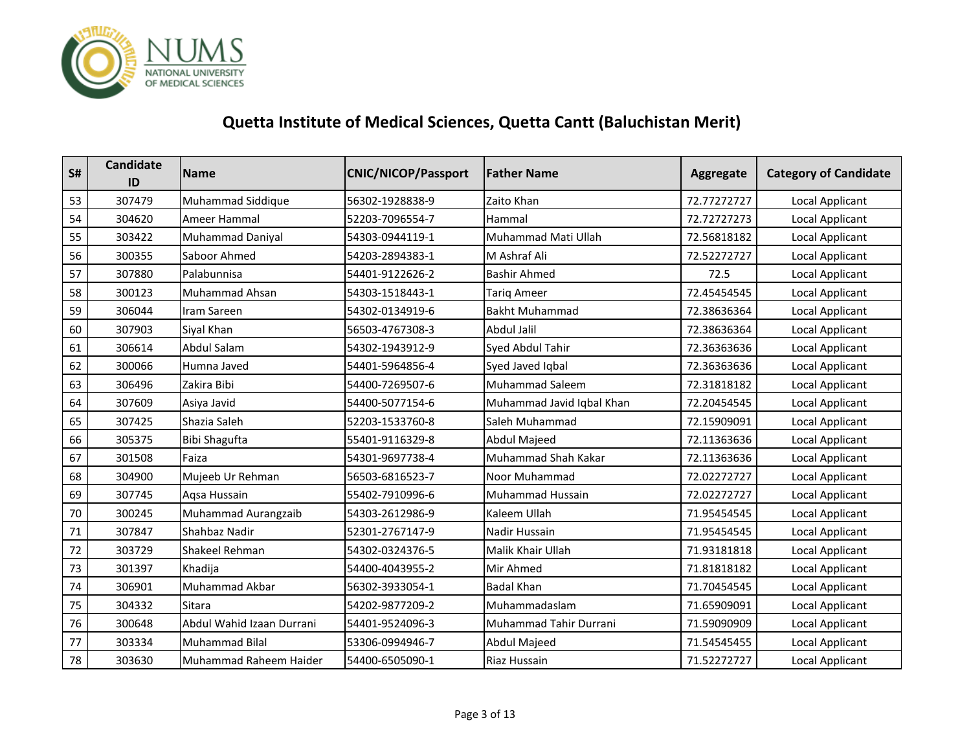

| S# | <b>Candidate</b><br>ID | <b>Name</b>                | <b>CNIC/NICOP/Passport</b> | <b>Father Name</b>        | <b>Aggregate</b> | <b>Category of Candidate</b> |
|----|------------------------|----------------------------|----------------------------|---------------------------|------------------|------------------------------|
| 53 | 307479                 | Muhammad Siddique          | 56302-1928838-9            | Zaito Khan                | 72.77272727      | Local Applicant              |
| 54 | 304620                 | Ameer Hammal               | 52203-7096554-7            | Hammal                    | 72.72727273      | Local Applicant              |
| 55 | 303422                 | <b>Muhammad Daniyal</b>    | 54303-0944119-1            | Muhammad Mati Ullah       | 72.56818182      | Local Applicant              |
| 56 | 300355                 | Saboor Ahmed               | 54203-2894383-1            | M Ashraf Ali              | 72.52272727      | Local Applicant              |
| 57 | 307880                 | Palabunnisa                | 54401-9122626-2            | <b>Bashir Ahmed</b>       | 72.5             | Local Applicant              |
| 58 | 300123                 | Muhammad Ahsan             | 54303-1518443-1            | <b>Tariq Ameer</b>        | 72.45454545      | Local Applicant              |
| 59 | 306044                 | Iram Sareen                | 54302-0134919-6            | <b>Bakht Muhammad</b>     | 72.38636364      | <b>Local Applicant</b>       |
| 60 | 307903                 | Siyal Khan                 | 56503-4767308-3            | Abdul Jalil               | 72.38636364      | Local Applicant              |
| 61 | 306614                 | <b>Abdul Salam</b>         | 54302-1943912-9            | Syed Abdul Tahir          | 72.36363636      | Local Applicant              |
| 62 | 300066                 | Humna Javed                | 54401-5964856-4            | Syed Javed Iqbal          | 72.36363636      | <b>Local Applicant</b>       |
| 63 | 306496                 | Zakira Bibi                | 54400-7269507-6            | <b>Muhammad Saleem</b>    | 72.31818182      | Local Applicant              |
| 64 | 307609                 | Asiya Javid                | 54400-5077154-6            | Muhammad Javid Iqbal Khan | 72.20454545      | Local Applicant              |
| 65 | 307425                 | Shazia Saleh               | 52203-1533760-8            | Saleh Muhammad            | 72.15909091      | <b>Local Applicant</b>       |
| 66 | 305375                 | <b>Bibi Shagufta</b>       | 55401-9116329-8            | Abdul Majeed              | 72.11363636      | Local Applicant              |
| 67 | 301508                 | Faiza                      | 54301-9697738-4            | Muhammad Shah Kakar       | 72.11363636      | Local Applicant              |
| 68 | 304900                 | Mujeeb Ur Rehman           | 56503-6816523-7            | <b>Noor Muhammad</b>      | 72.02272727      | Local Applicant              |
| 69 | 307745                 | Aqsa Hussain               | 55402-7910996-6            | Muhammad Hussain          | 72.02272727      | Local Applicant              |
| 70 | 300245                 | <b>Muhammad Aurangzaib</b> | 54303-2612986-9            | Kaleem Ullah              | 71.95454545      | Local Applicant              |
| 71 | 307847                 | Shahbaz Nadir              | 52301-2767147-9            | Nadir Hussain             | 71.95454545      | <b>Local Applicant</b>       |
| 72 | 303729                 | Shakeel Rehman             | 54302-0324376-5            | Malik Khair Ullah         | 71.93181818      | Local Applicant              |
| 73 | 301397                 | Khadija                    | 54400-4043955-2            | Mir Ahmed                 | 71.81818182      | Local Applicant              |
| 74 | 306901                 | Muhammad Akbar             | 56302-3933054-1            | <b>Badal Khan</b>         | 71.70454545      | Local Applicant              |
| 75 | 304332                 | <b>Sitara</b>              | 54202-9877209-2            | Muhammadaslam             | 71.65909091      | Local Applicant              |
| 76 | 300648                 | Abdul Wahid Izaan Durrani  | 54401-9524096-3            | Muhammad Tahir Durrani    | 71.59090909      | Local Applicant              |
| 77 | 303334                 | Muhammad Bilal             | 53306-0994946-7            | Abdul Majeed              | 71.54545455      | Local Applicant              |
| 78 | 303630                 | Muhammad Raheem Haider     | 54400-6505090-1            | Riaz Hussain              | 71.52272727      | Local Applicant              |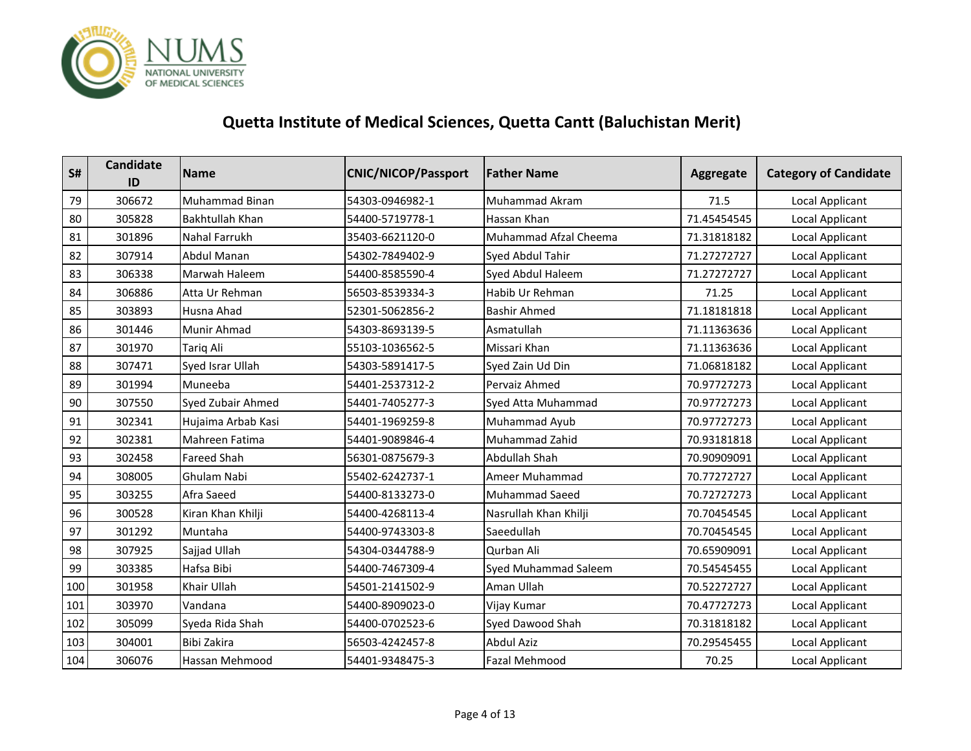

| S#  | <b>Candidate</b><br>ID | <b>Name</b>            | <b>CNIC/NICOP/Passport</b> | <b>Father Name</b>          | Aggregate   | <b>Category of Candidate</b> |
|-----|------------------------|------------------------|----------------------------|-----------------------------|-------------|------------------------------|
| 79  | 306672                 | Muhammad Binan         | 54303-0946982-1            | Muhammad Akram              | 71.5        | Local Applicant              |
| 80  | 305828                 | <b>Bakhtullah Khan</b> | 54400-5719778-1            | Hassan Khan                 | 71.45454545 | Local Applicant              |
| 81  | 301896                 | <b>Nahal Farrukh</b>   | 35403-6621120-0            | Muhammad Afzal Cheema       | 71.31818182 | Local Applicant              |
| 82  | 307914                 | <b>Abdul Manan</b>     | 54302-7849402-9            | Syed Abdul Tahir            | 71.27272727 | Local Applicant              |
| 83  | 306338                 | Marwah Haleem          | 54400-8585590-4            | Syed Abdul Haleem           | 71.27272727 | Local Applicant              |
| 84  | 306886                 | Atta Ur Rehman         | 56503-8539334-3            | Habib Ur Rehman             | 71.25       | Local Applicant              |
| 85  | 303893                 | Husna Ahad             | 52301-5062856-2            | <b>Bashir Ahmed</b>         | 71.18181818 | <b>Local Applicant</b>       |
| 86  | 301446                 | Munir Ahmad            | 54303-8693139-5            | Asmatullah                  | 71.11363636 | Local Applicant              |
| 87  | 301970                 | Tariq Ali              | 55103-1036562-5            | Missari Khan                | 71.11363636 | Local Applicant              |
| 88  | 307471                 | Syed Israr Ullah       | 54303-5891417-5            | Syed Zain Ud Din            | 71.06818182 | <b>Local Applicant</b>       |
| 89  | 301994                 | Muneeba                | 54401-2537312-2            | Pervaiz Ahmed               | 70.97727273 | Local Applicant              |
| 90  | 307550                 | Syed Zubair Ahmed      | 54401-7405277-3            | Syed Atta Muhammad          | 70.97727273 | Local Applicant              |
| 91  | 302341                 | Hujaima Arbab Kasi     | 54401-1969259-8            | Muhammad Ayub               | 70.97727273 | <b>Local Applicant</b>       |
| 92  | 302381                 | Mahreen Fatima         | 54401-9089846-4            | Muhammad Zahid              | 70.93181818 | Local Applicant              |
| 93  | 302458                 | <b>Fareed Shah</b>     | 56301-0875679-3            | Abdullah Shah               | 70.90909091 | Local Applicant              |
| 94  | 308005                 | Ghulam Nabi            | 55402-6242737-1            | Ameer Muhammad              | 70.77272727 | <b>Local Applicant</b>       |
| 95  | 303255                 | Afra Saeed             | 54400-8133273-0            | <b>Muhammad Saeed</b>       | 70.72727273 | Local Applicant              |
| 96  | 300528                 | Kiran Khan Khilji      | 54400-4268113-4            | Nasrullah Khan Khilji       | 70.70454545 | <b>Local Applicant</b>       |
| 97  | 301292                 | Muntaha                | 54400-9743303-8            | Saeedullah                  | 70.70454545 | <b>Local Applicant</b>       |
| 98  | 307925                 | Sajjad Ullah           | 54304-0344788-9            | Qurban Ali                  | 70.65909091 | Local Applicant              |
| 99  | 303385                 | Hafsa Bibi             | 54400-7467309-4            | <b>Syed Muhammad Saleem</b> | 70.54545455 | <b>Local Applicant</b>       |
| 100 | 301958                 | Khair Ullah            | 54501-2141502-9            | Aman Ullah                  | 70.52272727 | Local Applicant              |
| 101 | 303970                 | Vandana                | 54400-8909023-0            | Vijay Kumar                 | 70.47727273 | Local Applicant              |
| 102 | 305099                 | Syeda Rida Shah        | 54400-0702523-6            | Syed Dawood Shah            | 70.31818182 | Local Applicant              |
| 103 | 304001                 | Bibi Zakira            | 56503-4242457-8            | <b>Abdul Aziz</b>           | 70.29545455 | <b>Local Applicant</b>       |
| 104 | 306076                 | Hassan Mehmood         | 54401-9348475-3            | Fazal Mehmood               | 70.25       | Local Applicant              |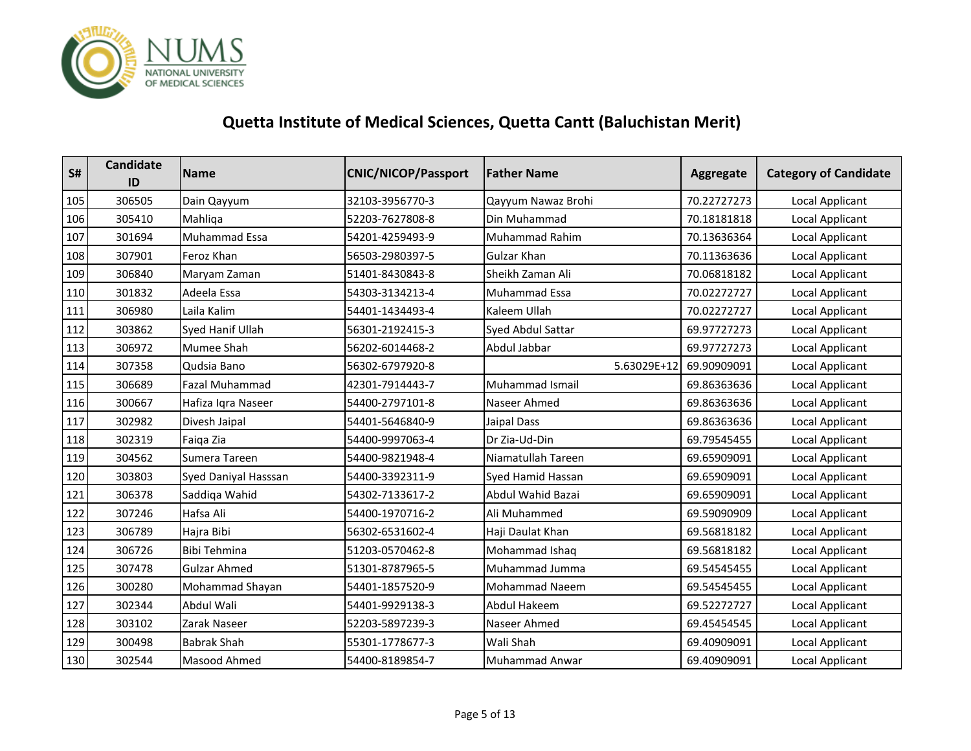

| S#  | <b>Candidate</b><br>ID | <b>Name</b>           | <b>CNIC/NICOP/Passport</b> | <b>Father Name</b>       | Aggregate   | <b>Category of Candidate</b> |
|-----|------------------------|-----------------------|----------------------------|--------------------------|-------------|------------------------------|
| 105 | 306505                 | Dain Qayyum           | 32103-3956770-3            | Qayyum Nawaz Brohi       | 70.22727273 | <b>Local Applicant</b>       |
| 106 | 305410                 | Mahliga               | 52203-7627808-8            | Din Muhammad             | 70.18181818 | Local Applicant              |
| 107 | 301694                 | Muhammad Essa         | 54201-4259493-9            | Muhammad Rahim           | 70.13636364 | <b>Local Applicant</b>       |
| 108 | 307901                 | Feroz Khan            | 56503-2980397-5            | <b>Gulzar Khan</b>       | 70.11363636 | <b>Local Applicant</b>       |
| 109 | 306840                 | Maryam Zaman          | 51401-8430843-8            | Sheikh Zaman Ali         | 70.06818182 | Local Applicant              |
| 110 | 301832                 | Adeela Essa           | 54303-3134213-4            | Muhammad Essa            | 70.02272727 | Local Applicant              |
| 111 | 306980                 | Laila Kalim           | 54401-1434493-4            | Kaleem Ullah             | 70.02272727 | <b>Local Applicant</b>       |
| 112 | 303862                 | Syed Hanif Ullah      | 56301-2192415-3            | <b>Syed Abdul Sattar</b> | 69.97727273 | Local Applicant              |
| 113 | 306972                 | <b>Mumee Shah</b>     | 56202-6014468-2            | Abdul Jabbar             | 69.97727273 | Local Applicant              |
| 114 | 307358                 | Qudsia Bano           | 56302-6797920-8            | 5.63029E+12              | 69.90909091 | <b>Local Applicant</b>       |
| 115 | 306689                 | <b>Fazal Muhammad</b> | 42301-7914443-7            | <b>Muhammad Ismail</b>   | 69.86363636 | Local Applicant              |
| 116 | 300667                 | Hafiza Iqra Naseer    | 54400-2797101-8            | Naseer Ahmed             | 69.86363636 | Local Applicant              |
| 117 | 302982                 | Divesh Jaipal         | 54401-5646840-9            | Jaipal Dass              | 69.86363636 | Local Applicant              |
| 118 | 302319                 | Faiqa Zia             | 54400-9997063-4            | Dr Zia-Ud-Din            | 69.79545455 | Local Applicant              |
| 119 | 304562                 | Sumera Tareen         | 54400-9821948-4            | Niamatullah Tareen       | 69.65909091 | Local Applicant              |
| 120 | 303803                 | Syed Daniyal Hasssan  | 54400-3392311-9            | Syed Hamid Hassan        | 69.65909091 | <b>Local Applicant</b>       |
| 121 | 306378                 | Saddiqa Wahid         | 54302-7133617-2            | Abdul Wahid Bazai        | 69.65909091 | Local Applicant              |
| 122 | 307246                 | Hafsa Ali             | 54400-1970716-2            | Ali Muhammed             | 69.59090909 | Local Applicant              |
| 123 | 306789                 | Hajra Bibi            | 56302-6531602-4            | Haji Daulat Khan         | 69.56818182 | <b>Local Applicant</b>       |
| 124 | 306726                 | Bibi Tehmina          | 51203-0570462-8            | Mohammad Ishaq           | 69.56818182 | Local Applicant              |
| 125 | 307478                 | <b>Gulzar Ahmed</b>   | 51301-8787965-5            | Muhammad Jumma           | 69.54545455 | <b>Local Applicant</b>       |
| 126 | 300280                 | Mohammad Shayan       | 54401-1857520-9            | Mohammad Naeem           | 69.54545455 | Local Applicant              |
| 127 | 302344                 | Abdul Wali            | 54401-9929138-3            | Abdul Hakeem             | 69.52272727 | Local Applicant              |
| 128 | 303102                 | Zarak Naseer          | 52203-5897239-3            | Naseer Ahmed             | 69.45454545 | Local Applicant              |
| 129 | 300498                 | <b>Babrak Shah</b>    | 55301-1778677-3            | Wali Shah                | 69.40909091 | Local Applicant              |
| 130 | 302544                 | Masood Ahmed          | 54400-8189854-7            | <b>Muhammad Anwar</b>    | 69.40909091 | Local Applicant              |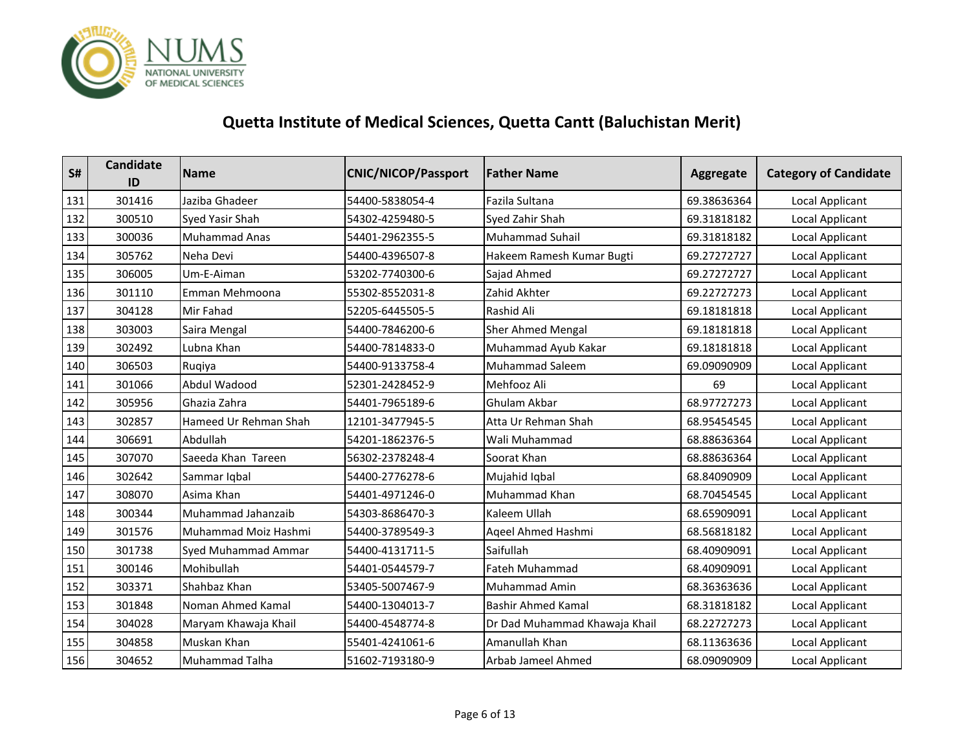

| S#  | <b>Candidate</b><br>ID | <b>Name</b>           | <b>CNIC/NICOP/Passport</b> | <b>Father Name</b>            | Aggregate   | <b>Category of Candidate</b> |
|-----|------------------------|-----------------------|----------------------------|-------------------------------|-------------|------------------------------|
| 131 | 301416                 | Jaziba Ghadeer        | 54400-5838054-4            | Fazila Sultana                | 69.38636364 | <b>Local Applicant</b>       |
| 132 | 300510                 | Syed Yasir Shah       | 54302-4259480-5            | Syed Zahir Shah               | 69.31818182 | Local Applicant              |
| 133 | 300036                 | <b>Muhammad Anas</b>  | 54401-2962355-5            | <b>Muhammad Suhail</b>        | 69.31818182 | <b>Local Applicant</b>       |
| 134 | 305762                 | Neha Devi             | 54400-4396507-8            | Hakeem Ramesh Kumar Bugti     | 69.27272727 | Local Applicant              |
| 135 | 306005                 | Um-E-Aiman            | 53202-7740300-6            | Sajad Ahmed                   | 69.27272727 | Local Applicant              |
| 136 | 301110                 | Emman Mehmoona        | 55302-8552031-8            | Zahid Akhter                  | 69.22727273 | <b>Local Applicant</b>       |
| 137 | 304128                 | Mir Fahad             | 52205-6445505-5            | Rashid Ali                    | 69.18181818 | Local Applicant              |
| 138 | 303003                 | Saira Mengal          | 54400-7846200-6            | <b>Sher Ahmed Mengal</b>      | 69.18181818 | Local Applicant              |
| 139 | 302492                 | Lubna Khan            | 54400-7814833-0            | Muhammad Ayub Kakar           | 69.18181818 | Local Applicant              |
| 140 | 306503                 | Ruqiya                | 54400-9133758-4            | Muhammad Saleem               | 69.09090909 | Local Applicant              |
| 141 | 301066                 | Abdul Wadood          | 52301-2428452-9            | Mehfooz Ali                   | 69          | Local Applicant              |
| 142 | 305956                 | Ghazia Zahra          | 54401-7965189-6            | Ghulam Akbar                  | 68.97727273 | Local Applicant              |
| 143 | 302857                 | Hameed Ur Rehman Shah | 12101-3477945-5            | Atta Ur Rehman Shah           | 68.95454545 | Local Applicant              |
| 144 | 306691                 | Abdullah              | 54201-1862376-5            | Wali Muhammad                 | 68.88636364 | Local Applicant              |
| 145 | 307070                 | Saeeda Khan Tareen    | 56302-2378248-4            | Soorat Khan                   | 68.88636364 | Local Applicant              |
| 146 | 302642                 | Sammar Iqbal          | 54400-2776278-6            | Mujahid Iqbal                 | 68.84090909 | Local Applicant              |
| 147 | 308070                 | Asima Khan            | 54401-4971246-0            | <b>Muhammad Khan</b>          | 68.70454545 | Local Applicant              |
| 148 | 300344                 | Muhammad Jahanzaib    | 54303-8686470-3            | Kaleem Ullah                  | 68.65909091 | <b>Local Applicant</b>       |
| 149 | 301576                 | Muhammad Moiz Hashmi  | 54400-3789549-3            | Ageel Ahmed Hashmi            | 68.56818182 | Local Applicant              |
| 150 | 301738                 | Syed Muhammad Ammar   | 54400-4131711-5            | Saifullah                     | 68.40909091 | Local Applicant              |
| 151 | 300146                 | Mohibullah            | 54401-0544579-7            | <b>Fateh Muhammad</b>         | 68.40909091 | <b>Local Applicant</b>       |
| 152 | 303371                 | Shahbaz Khan          | 53405-5007467-9            | <b>Muhammad Amin</b>          | 68.36363636 | Local Applicant              |
| 153 | 301848                 | Noman Ahmed Kamal     | 54400-1304013-7            | <b>Bashir Ahmed Kamal</b>     | 68.31818182 | Local Applicant              |
| 154 | 304028                 | Maryam Khawaja Khail  | 54400-4548774-8            | Dr Dad Muhammad Khawaja Khail | 68.22727273 | <b>Local Applicant</b>       |
| 155 | 304858                 | Muskan Khan           | 55401-4241061-6            | Amanullah Khan                | 68.11363636 | Local Applicant              |
| 156 | 304652                 | <b>Muhammad Talha</b> | 51602-7193180-9            | Arbab Jameel Ahmed            | 68.09090909 | Local Applicant              |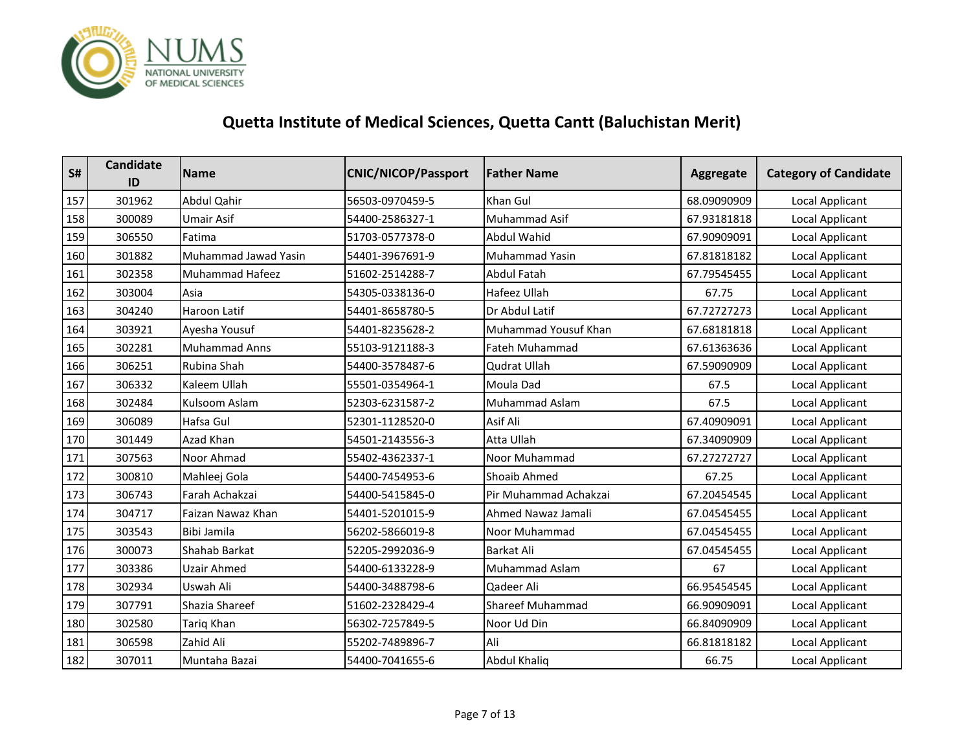

| S#  | Candidate<br>ID | <b>Name</b>            | <b>CNIC/NICOP/Passport</b> | <b>Father Name</b>      | Aggregate   | <b>Category of Candidate</b> |
|-----|-----------------|------------------------|----------------------------|-------------------------|-------------|------------------------------|
| 157 | 301962          | Abdul Qahir            | 56503-0970459-5            | Khan Gul                | 68.09090909 | Local Applicant              |
| 158 | 300089          | Umair Asif             | 54400-2586327-1            | Muhammad Asif           | 67.93181818 | Local Applicant              |
| 159 | 306550          | Fatima                 | 51703-0577378-0            | <b>Abdul Wahid</b>      | 67.90909091 | <b>Local Applicant</b>       |
| 160 | 301882          | Muhammad Jawad Yasin   | 54401-3967691-9            | Muhammad Yasin          | 67.81818182 | Local Applicant              |
| 161 | 302358          | <b>Muhammad Hafeez</b> | 51602-2514288-7            | Abdul Fatah             | 67.79545455 | Local Applicant              |
| 162 | 303004          | Asia                   | 54305-0338136-0            | Hafeez Ullah            | 67.75       | Local Applicant              |
| 163 | 304240          | Haroon Latif           | 54401-8658780-5            | Dr Abdul Latif          | 67.72727273 | Local Applicant              |
| 164 | 303921          | Ayesha Yousuf          | 54401-8235628-2            | Muhammad Yousuf Khan    | 67.68181818 | Local Applicant              |
| 165 | 302281          | <b>Muhammad Anns</b>   | 55103-9121188-3            | Fateh Muhammad          | 67.61363636 | Local Applicant              |
| 166 | 306251          | Rubina Shah            | 54400-3578487-6            | Qudrat Ullah            | 67.59090909 | Local Applicant              |
| 167 | 306332          | Kaleem Ullah           | 55501-0354964-1            | Moula Dad               | 67.5        | Local Applicant              |
| 168 | 302484          | Kulsoom Aslam          | 52303-6231587-2            | Muhammad Aslam          | 67.5        | Local Applicant              |
| 169 | 306089          | Hafsa Gul              | 52301-1128520-0            | Asif Ali                | 67.40909091 | Local Applicant              |
| 170 | 301449          | Azad Khan              | 54501-2143556-3            | Atta Ullah              | 67.34090909 | Local Applicant              |
| 171 | 307563          | Noor Ahmad             | 55402-4362337-1            | Noor Muhammad           | 67.27272727 | <b>Local Applicant</b>       |
| 172 | 300810          | Mahleej Gola           | 54400-7454953-6            | Shoaib Ahmed            | 67.25       | Local Applicant              |
| 173 | 306743          | Farah Achakzai         | 54400-5415845-0            | Pir Muhammad Achakzai   | 67.20454545 | Local Applicant              |
| 174 | 304717          | Faizan Nawaz Khan      | 54401-5201015-9            | Ahmed Nawaz Jamali      | 67.04545455 | <b>Local Applicant</b>       |
| 175 | 303543          | <b>Bibi Jamila</b>     | 56202-5866019-8            | Noor Muhammad           | 67.04545455 | Local Applicant              |
| 176 | 300073          | Shahab Barkat          | 52205-2992036-9            | Barkat Ali              | 67.04545455 | Local Applicant              |
| 177 | 303386          | <b>Uzair Ahmed</b>     | 54400-6133228-9            | Muhammad Aslam          | 67          | <b>Local Applicant</b>       |
| 178 | 302934          | Uswah Ali              | 54400-3488798-6            | Qadeer Ali              | 66.95454545 | Local Applicant              |
| 179 | 307791          | Shazia Shareef         | 51602-2328429-4            | <b>Shareef Muhammad</b> | 66.90909091 | Local Applicant              |
| 180 | 302580          | Tariq Khan             | 56302-7257849-5            | Noor Ud Din             | 66.84090909 | Local Applicant              |
| 181 | 306598          | Zahid Ali              | 55202-7489896-7            | Ali                     | 66.81818182 | Local Applicant              |
| 182 | 307011          | Muntaha Bazai          | 54400-7041655-6            | Abdul Khaliq            | 66.75       | Local Applicant              |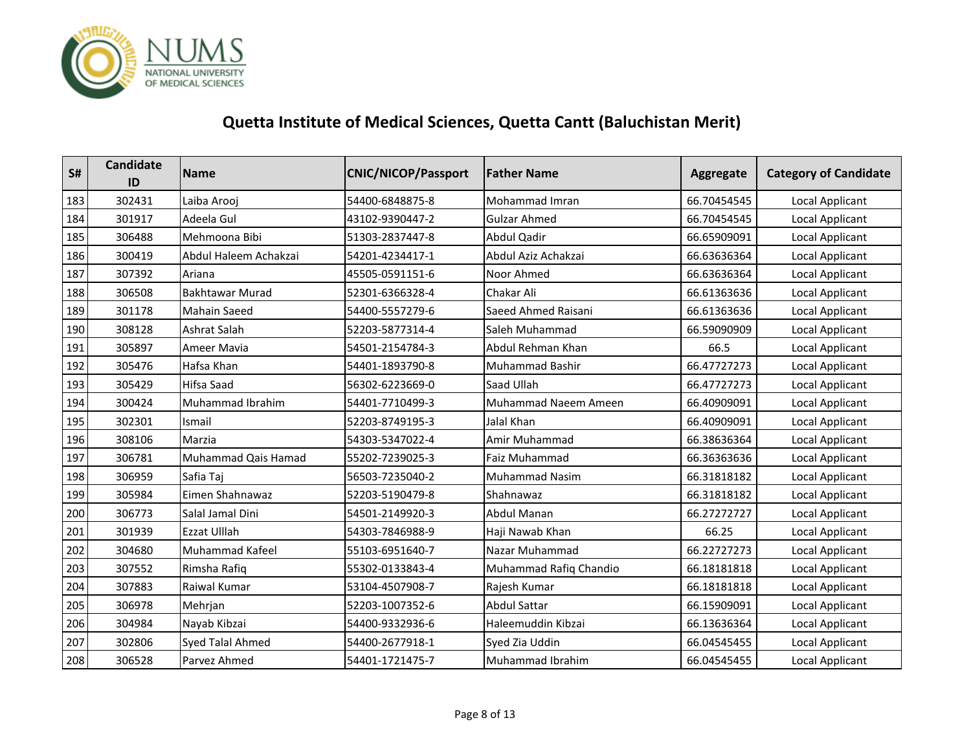

| S#  | Candidate<br>ID | <b>Name</b>             | <b>CNIC/NICOP/Passport</b> | <b>Father Name</b>     | Aggregate   | <b>Category of Candidate</b> |
|-----|-----------------|-------------------------|----------------------------|------------------------|-------------|------------------------------|
| 183 | 302431          | Laiba Arooj             | 54400-6848875-8            | Mohammad Imran         | 66.70454545 | Local Applicant              |
| 184 | 301917          | Adeela Gul              | 43102-9390447-2            | <b>Gulzar Ahmed</b>    | 66.70454545 | Local Applicant              |
| 185 | 306488          | Mehmoona Bibi           | 51303-2837447-8            | Abdul Qadir            | 66.65909091 | Local Applicant              |
| 186 | 300419          | Abdul Haleem Achakzai   | 54201-4234417-1            | Abdul Aziz Achakzai    | 66.63636364 | Local Applicant              |
| 187 | 307392          | Ariana                  | 45505-0591151-6            | Noor Ahmed             | 66.63636364 | Local Applicant              |
| 188 | 306508          | <b>Bakhtawar Murad</b>  | 52301-6366328-4            | Chakar Ali             | 66.61363636 | Local Applicant              |
| 189 | 301178          | <b>Mahain Saeed</b>     | 54400-5557279-6            | Saeed Ahmed Raisani    | 66.61363636 | Local Applicant              |
| 190 | 308128          | Ashrat Salah            | 52203-5877314-4            | Saleh Muhammad         | 66.59090909 | Local Applicant              |
| 191 | 305897          | <b>Ameer Mavia</b>      | 54501-2154784-3            | Abdul Rehman Khan      | 66.5        | Local Applicant              |
| 192 | 305476          | Hafsa Khan              | 54401-1893790-8            | Muhammad Bashir        | 66.47727273 | Local Applicant              |
| 193 | 305429          | Hifsa Saad              | 56302-6223669-0            | Saad Ullah             | 66.47727273 | Local Applicant              |
| 194 | 300424          | Muhammad Ibrahim        | 54401-7710499-3            | Muhammad Naeem Ameen   | 66.40909091 | Local Applicant              |
| 195 | 302301          | Ismail                  | 52203-8749195-3            | Jalal Khan             | 66.40909091 | Local Applicant              |
| 196 | 308106          | Marzia                  | 54303-5347022-4            | Amir Muhammad          | 66.38636364 | Local Applicant              |
| 197 | 306781          | Muhammad Qais Hamad     | 55202-7239025-3            | <b>Faiz Muhammad</b>   | 66.36363636 | Local Applicant              |
| 198 | 306959          | Safia Taj               | 56503-7235040-2            | Muhammad Nasim         | 66.31818182 | Local Applicant              |
| 199 | 305984          | Eimen Shahnawaz         | 52203-5190479-8            | Shahnawaz              | 66.31818182 | Local Applicant              |
| 200 | 306773          | Salal Jamal Dini        | 54501-2149920-3            | <b>Abdul Manan</b>     | 66.27272727 | <b>Local Applicant</b>       |
| 201 | 301939          | <b>Ezzat Ulllah</b>     | 54303-7846988-9            | Haji Nawab Khan        | 66.25       | Local Applicant              |
| 202 | 304680          | Muhammad Kafeel         | 55103-6951640-7            | Nazar Muhammad         | 66.22727273 | Local Applicant              |
| 203 | 307552          | Rimsha Rafiq            | 55302-0133843-4            | Muhammad Rafiq Chandio | 66.18181818 | <b>Local Applicant</b>       |
| 204 | 307883          | Raiwal Kumar            | 53104-4507908-7            | Rajesh Kumar           | 66.18181818 | Local Applicant              |
| 205 | 306978          | Mehrjan                 | 52203-1007352-6            | Abdul Sattar           | 66.15909091 | Local Applicant              |
| 206 | 304984          | Nayab Kibzai            | 54400-9332936-6            | Haleemuddin Kibzai     | 66.13636364 | Local Applicant              |
| 207 | 302806          | <b>Syed Talal Ahmed</b> | 54400-2677918-1            | Syed Zia Uddin         | 66.04545455 | Local Applicant              |
| 208 | 306528          | Parvez Ahmed            | 54401-1721475-7            | Muhammad Ibrahim       | 66.04545455 | Local Applicant              |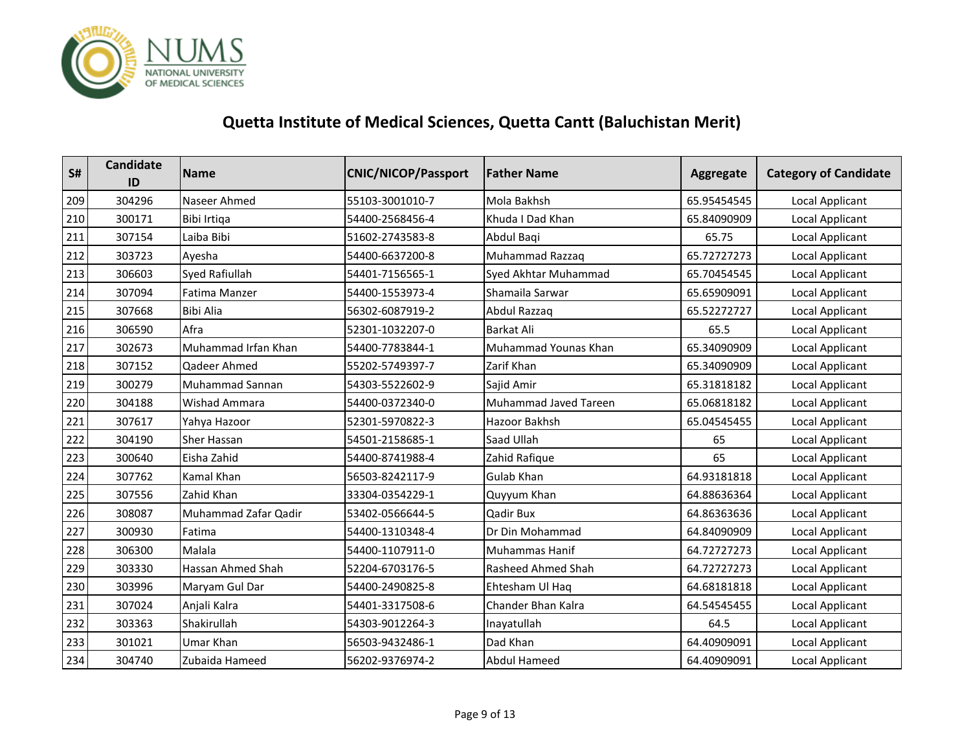

| S#  | Candidate<br>ID | <b>Name</b>              | <b>CNIC/NICOP/Passport</b> | <b>Father Name</b>    | Aggregate   | <b>Category of Candidate</b> |
|-----|-----------------|--------------------------|----------------------------|-----------------------|-------------|------------------------------|
| 209 | 304296          | Naseer Ahmed             | 55103-3001010-7            | Mola Bakhsh           | 65.95454545 | Local Applicant              |
| 210 | 300171          | Bibi Irtiga              | 54400-2568456-4            | Khuda I Dad Khan      | 65.84090909 | Local Applicant              |
| 211 | 307154          | Laiba Bibi               | 51602-2743583-8            | Abdul Baqi            | 65.75       | Local Applicant              |
| 212 | 303723          | Ayesha                   | 54400-6637200-8            | Muhammad Razzaq       | 65.72727273 | Local Applicant              |
| 213 | 306603          | <b>Syed Rafiullah</b>    | 54401-7156565-1            | Syed Akhtar Muhammad  | 65.70454545 | <b>Local Applicant</b>       |
| 214 | 307094          | Fatima Manzer            | 54400-1553973-4            | Shamaila Sarwar       | 65.65909091 | <b>Local Applicant</b>       |
| 215 | 307668          | <b>Bibi Alia</b>         | 56302-6087919-2            | Abdul Razzaq          | 65.52272727 | Local Applicant              |
| 216 | 306590          | Afra                     | 52301-1032207-0            | <b>Barkat Ali</b>     | 65.5        | Local Applicant              |
| 217 | 302673          | Muhammad Irfan Khan      | 54400-7783844-1            | Muhammad Younas Khan  | 65.34090909 | Local Applicant              |
| 218 | 307152          | Qadeer Ahmed             | 55202-5749397-7            | Zarif Khan            | 65.34090909 | Local Applicant              |
| 219 | 300279          | <b>Muhammad Sannan</b>   | 54303-5522602-9            | Sajid Amir            | 65.31818182 | Local Applicant              |
| 220 | 304188          | <b>Wishad Ammara</b>     | 54400-0372340-0            | Muhammad Javed Tareen | 65.06818182 | Local Applicant              |
| 221 | 307617          | Yahya Hazoor             | 52301-5970822-3            | Hazoor Bakhsh         | 65.04545455 | <b>Local Applicant</b>       |
| 222 | 304190          | <b>Sher Hassan</b>       | 54501-2158685-1            | Saad Ullah            | 65          | Local Applicant              |
| 223 | 300640          | Eisha Zahid              | 54400-8741988-4            | Zahid Rafique         | 65          | Local Applicant              |
| 224 | 307762          | Kamal Khan               | 56503-8242117-9            | Gulab Khan            | 64.93181818 | Local Applicant              |
| 225 | 307556          | Zahid Khan               | 33304-0354229-1            | Quyyum Khan           | 64.88636364 | Local Applicant              |
| 226 | 308087          | Muhammad Zafar Qadir     | 53402-0566644-5            | Qadir Bux             | 64.86363636 | Local Applicant              |
| 227 | 300930          | Fatima                   | 54400-1310348-4            | Dr Din Mohammad       | 64.84090909 | <b>Local Applicant</b>       |
| 228 | 306300          | Malala                   | 54400-1107911-0            | <b>Muhammas Hanif</b> | 64.72727273 | Local Applicant              |
| 229 | 303330          | <b>Hassan Ahmed Shah</b> | 52204-6703176-5            | Rasheed Ahmed Shah    | 64.72727273 | Local Applicant              |
| 230 | 303996          | Maryam Gul Dar           | 54400-2490825-8            | Ehtesham Ul Haq       | 64.68181818 | <b>Local Applicant</b>       |
| 231 | 307024          | Anjali Kalra             | 54401-3317508-6            | Chander Bhan Kalra    | 64.54545455 | Local Applicant              |
| 232 | 303363          | Shakirullah              | 54303-9012264-3            | Inayatullah           | 64.5        | Local Applicant              |
| 233 | 301021          | <b>Umar Khan</b>         | 56503-9432486-1            | Dad Khan              | 64.40909091 | Local Applicant              |
| 234 | 304740          | Zubaida Hameed           | 56202-9376974-2            | <b>Abdul Hameed</b>   | 64.40909091 | Local Applicant              |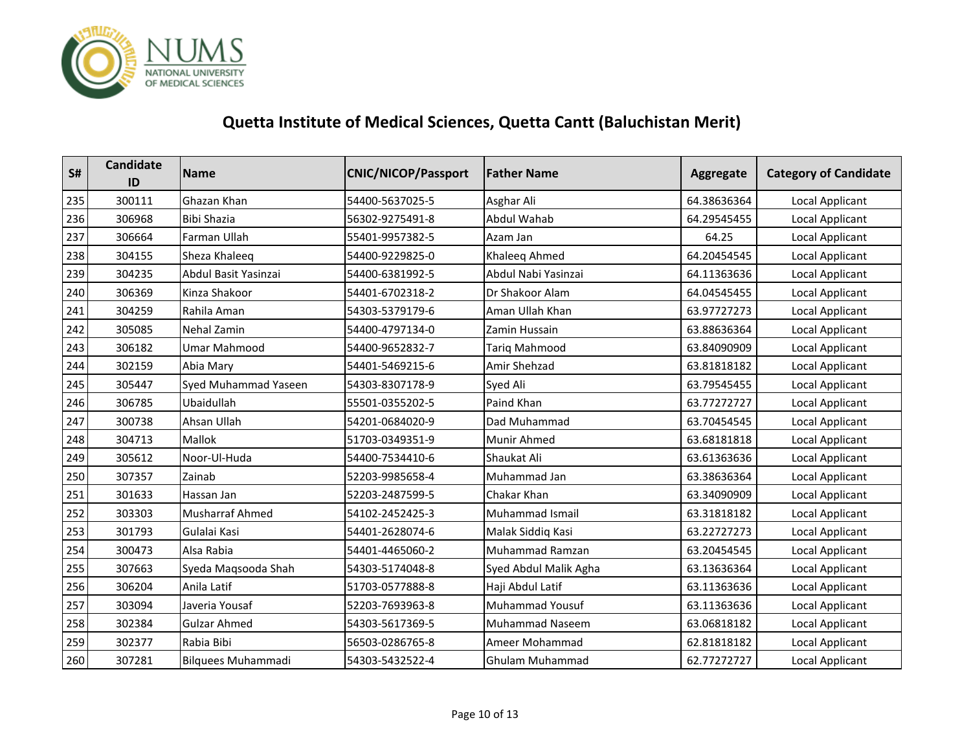

| S#  | <b>Candidate</b><br>ID | <b>Name</b>               | <b>CNIC/NICOP/Passport</b> | <b>Father Name</b>     | Aggregate   | <b>Category of Candidate</b> |
|-----|------------------------|---------------------------|----------------------------|------------------------|-------------|------------------------------|
| 235 | 300111                 | Ghazan Khan               | 54400-5637025-5            | Asghar Ali             | 64.38636364 | Local Applicant              |
| 236 | 306968                 | <b>Bibi Shazia</b>        | 56302-9275491-8            | Abdul Wahab            | 64.29545455 | Local Applicant              |
| 237 | 306664                 | Farman Ullah              | 55401-9957382-5            | Azam Jan               | 64.25       | Local Applicant              |
| 238 | 304155                 | Sheza Khaleeq             | 54400-9229825-0            | Khaleeq Ahmed          | 64.20454545 | Local Applicant              |
| 239 | 304235                 | Abdul Basit Yasinzai      | 54400-6381992-5            | Abdul Nabi Yasinzai    | 64.11363636 | Local Applicant              |
| 240 | 306369                 | Kinza Shakoor             | 54401-6702318-2            | Dr Shakoor Alam        | 64.04545455 | Local Applicant              |
| 241 | 304259                 | Rahila Aman               | 54303-5379179-6            | Aman Ullah Khan        | 63.97727273 | Local Applicant              |
| 242 | 305085                 | <b>Nehal Zamin</b>        | 54400-4797134-0            | Zamin Hussain          | 63.88636364 | Local Applicant              |
| 243 | 306182                 | <b>Umar Mahmood</b>       | 54400-9652832-7            | Tariq Mahmood          | 63.84090909 | Local Applicant              |
| 244 | 302159                 | Abia Mary                 | 54401-5469215-6            | Amir Shehzad           | 63.81818182 | <b>Local Applicant</b>       |
| 245 | 305447                 | Syed Muhammad Yaseen      | 54303-8307178-9            | Syed Ali               | 63.79545455 | Local Applicant              |
| 246 | 306785                 | Ubaidullah                | 55501-0355202-5            | Paind Khan             | 63.77272727 | Local Applicant              |
| 247 | 300738                 | Ahsan Ullah               | 54201-0684020-9            | Dad Muhammad           | 63.70454545 | <b>Local Applicant</b>       |
| 248 | 304713                 | Mallok                    | 51703-0349351-9            | Munir Ahmed            | 63.68181818 | Local Applicant              |
| 249 | 305612                 | Noor-Ul-Huda              | 54400-7534410-6            | Shaukat Ali            | 63.61363636 | Local Applicant              |
| 250 | 307357                 | Zainab                    | 52203-9985658-4            | Muhammad Jan           | 63.38636364 | Local Applicant              |
| 251 | 301633                 | Hassan Jan                | 52203-2487599-5            | Chakar Khan            | 63.34090909 | Local Applicant              |
| 252 | 303303                 | <b>Musharraf Ahmed</b>    | 54102-2452425-3            | Muhammad Ismail        | 63.31818182 | <b>Local Applicant</b>       |
| 253 | 301793                 | Gulalai Kasi              | 54401-2628074-6            | Malak Siddiq Kasi      | 63.22727273 | Local Applicant              |
| 254 | 300473                 | Alsa Rabia                | 54401-4465060-2            | Muhammad Ramzan        | 63.20454545 | Local Applicant              |
| 255 | 307663                 | Syeda Maqsooda Shah       | 54303-5174048-8            | Syed Abdul Malik Agha  | 63.13636364 | Local Applicant              |
| 256 | 306204                 | Anila Latif               | 51703-0577888-8            | Haji Abdul Latif       | 63.11363636 | Local Applicant              |
| 257 | 303094                 | Javeria Yousaf            | 52203-7693963-8            | <b>Muhammad Yousuf</b> | 63.11363636 | Local Applicant              |
| 258 | 302384                 | <b>Gulzar Ahmed</b>       | 54303-5617369-5            | <b>Muhammad Naseem</b> | 63.06818182 | Local Applicant              |
| 259 | 302377                 | Rabia Bibi                | 56503-0286765-8            | Ameer Mohammad         | 62.81818182 | Local Applicant              |
| 260 | 307281                 | <b>Bilquees Muhammadi</b> | 54303-5432522-4            | <b>Ghulam Muhammad</b> | 62.77272727 | Local Applicant              |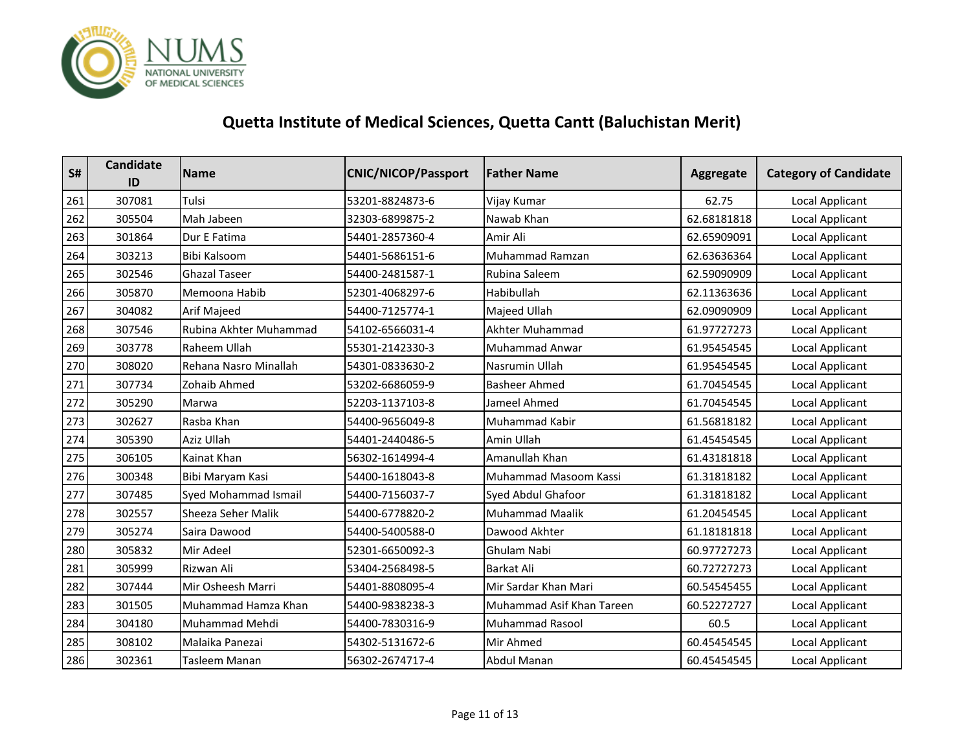

| S#  | <b>Candidate</b><br>ID | <b>Name</b>               | <b>CNIC/NICOP/Passport</b> | <b>Father Name</b>        | Aggregate   | <b>Category of Candidate</b> |
|-----|------------------------|---------------------------|----------------------------|---------------------------|-------------|------------------------------|
| 261 | 307081                 | Tulsi                     | 53201-8824873-6            | Vijay Kumar               | 62.75       | Local Applicant              |
| 262 | 305504                 | Mah Jabeen                | 32303-6899875-2            | Nawab Khan                | 62.68181818 | Local Applicant              |
| 263 | 301864                 | Dur E Fatima              | 54401-2857360-4            | Amir Ali                  | 62.65909091 | <b>Local Applicant</b>       |
| 264 | 303213                 | <b>Bibi Kalsoom</b>       | 54401-5686151-6            | Muhammad Ramzan           | 62.63636364 | Local Applicant              |
| 265 | 302546                 | <b>Ghazal Taseer</b>      | 54400-2481587-1            | Rubina Saleem             | 62.59090909 | Local Applicant              |
| 266 | 305870                 | Memoona Habib             | 52301-4068297-6            | Habibullah                | 62.11363636 | <b>Local Applicant</b>       |
| 267 | 304082                 | Arif Majeed               | 54400-7125774-1            | Majeed Ullah              | 62.09090909 | Local Applicant              |
| 268 | 307546                 | Rubina Akhter Muhammad    | 54102-6566031-4            | Akhter Muhammad           | 61.97727273 | Local Applicant              |
| 269 | 303778                 | Raheem Ullah              | 55301-2142330-3            | <b>Muhammad Anwar</b>     | 61.95454545 | <b>Local Applicant</b>       |
| 270 | 308020                 | Rehana Nasro Minallah     | 54301-0833630-2            | Nasrumin Ullah            | 61.95454545 | Local Applicant              |
| 271 | 307734                 | Zohaib Ahmed              | 53202-6686059-9            | <b>Basheer Ahmed</b>      | 61.70454545 | Local Applicant              |
| 272 | 305290                 | Marwa                     | 52203-1137103-8            | Jameel Ahmed              | 61.70454545 | Local Applicant              |
| 273 | 302627                 | Rasba Khan                | 54400-9656049-8            | Muhammad Kabir            | 61.56818182 | Local Applicant              |
| 274 | 305390                 | Aziz Ullah                | 54401-2440486-5            | Amin Ullah                | 61.45454545 | Local Applicant              |
| 275 | 306105                 | Kainat Khan               | 56302-1614994-4            | Amanullah Khan            | 61.43181818 | Local Applicant              |
| 276 | 300348                 | Bibi Maryam Kasi          | 54400-1618043-8            | Muhammad Masoom Kassi     | 61.31818182 | Local Applicant              |
| 277 | 307485                 | Syed Mohammad Ismail      | 54400-7156037-7            | Syed Abdul Ghafoor        | 61.31818182 | Local Applicant              |
| 278 | 302557                 | <b>Sheeza Seher Malik</b> | 54400-6778820-2            | <b>Muhammad Maalik</b>    | 61.20454545 | Local Applicant              |
| 279 | 305274                 | Saira Dawood              | 54400-5400588-0            | Dawood Akhter             | 61.18181818 | Local Applicant              |
| 280 | 305832                 | Mir Adeel                 | 52301-6650092-3            | Ghulam Nabi               | 60.97727273 | Local Applicant              |
| 281 | 305999                 | Rizwan Ali                | 53404-2568498-5            | <b>Barkat Ali</b>         | 60.72727273 | Local Applicant              |
| 282 | 307444                 | Mir Osheesh Marri         | 54401-8808095-4            | Mir Sardar Khan Mari      | 60.54545455 | Local Applicant              |
| 283 | 301505                 | Muhammad Hamza Khan       | 54400-9838238-3            | Muhammad Asif Khan Tareen | 60.52272727 | Local Applicant              |
| 284 | 304180                 | Muhammad Mehdi            | 54400-7830316-9            | <b>Muhammad Rasool</b>    | 60.5        | Local Applicant              |
| 285 | 308102                 | Malaika Panezai           | 54302-5131672-6            | Mir Ahmed                 | 60.45454545 | Local Applicant              |
| 286 | 302361                 | Tasleem Manan             | 56302-2674717-4            | Abdul Manan               | 60.45454545 | Local Applicant              |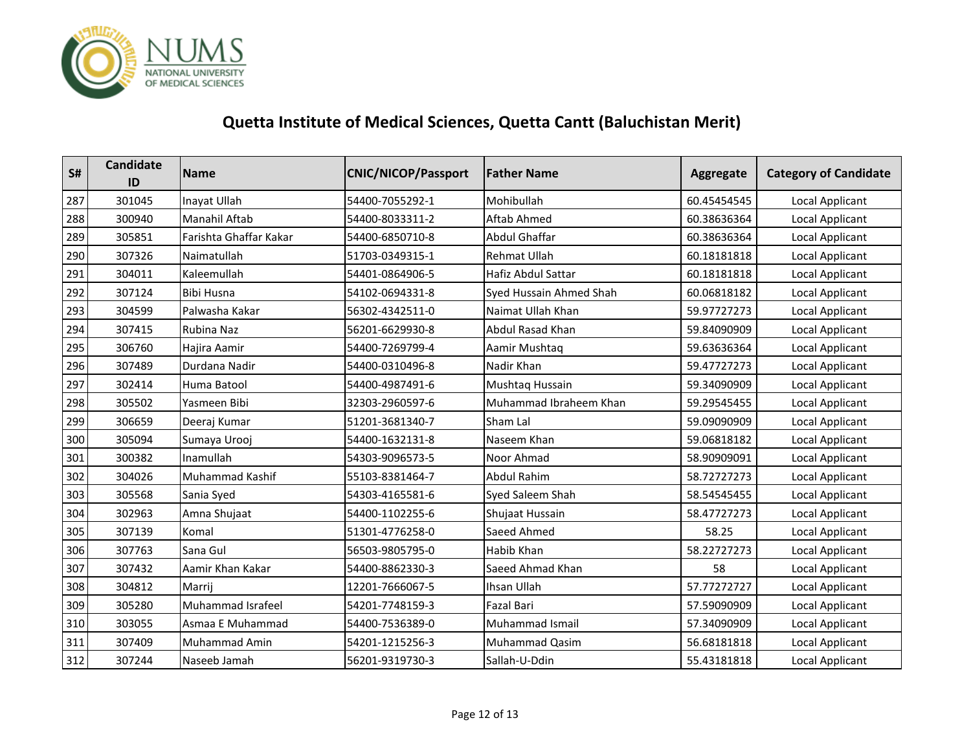

| S#  | <b>Candidate</b><br>ID | <b>Name</b>            | <b>CNIC/NICOP/Passport</b> | <b>Father Name</b>      | Aggregate   | <b>Category of Candidate</b> |
|-----|------------------------|------------------------|----------------------------|-------------------------|-------------|------------------------------|
| 287 | 301045                 | Inayat Ullah           | 54400-7055292-1            | Mohibullah              | 60.45454545 | Local Applicant              |
| 288 | 300940                 | <b>Manahil Aftab</b>   | 54400-8033311-2            | Aftab Ahmed             | 60.38636364 | Local Applicant              |
| 289 | 305851                 | Farishta Ghaffar Kakar | 54400-6850710-8            | <b>Abdul Ghaffar</b>    | 60.38636364 | Local Applicant              |
| 290 | 307326                 | Naimatullah            | 51703-0349315-1            | <b>Rehmat Ullah</b>     | 60.18181818 | Local Applicant              |
| 291 | 304011                 | Kaleemullah            | 54401-0864906-5            | Hafiz Abdul Sattar      | 60.18181818 | Local Applicant              |
| 292 | 307124                 | <b>Bibi Husna</b>      | 54102-0694331-8            | Syed Hussain Ahmed Shah | 60.06818182 | Local Applicant              |
| 293 | 304599                 | Palwasha Kakar         | 56302-4342511-0            | Naimat Ullah Khan       | 59.97727273 | <b>Local Applicant</b>       |
| 294 | 307415                 | Rubina Naz             | 56201-6629930-8            | Abdul Rasad Khan        | 59.84090909 | Local Applicant              |
| 295 | 306760                 | Hajira Aamir           | 54400-7269799-4            | Aamir Mushtaq           | 59.63636364 | Local Applicant              |
| 296 | 307489                 | Durdana Nadir          | 54400-0310496-8            | Nadir Khan              | 59.47727273 | <b>Local Applicant</b>       |
| 297 | 302414                 | Huma Batool            | 54400-4987491-6            | Mushtaq Hussain         | 59.34090909 | Local Applicant              |
| 298 | 305502                 | Yasmeen Bibi           | 32303-2960597-6            | Muhammad Ibraheem Khan  | 59.29545455 | Local Applicant              |
| 299 | 306659                 | Deeraj Kumar           | 51201-3681340-7            | Sham Lal                | 59.09090909 | <b>Local Applicant</b>       |
| 300 | 305094                 | Sumaya Urooj           | 54400-1632131-8            | Naseem Khan             | 59.06818182 | Local Applicant              |
| 301 | 300382                 | Inamullah              | 54303-9096573-5            | Noor Ahmad              | 58.90909091 | Local Applicant              |
| 302 | 304026                 | <b>Muhammad Kashif</b> | 55103-8381464-7            | <b>Abdul Rahim</b>      | 58.72727273 | Local Applicant              |
| 303 | 305568                 | Sania Syed             | 54303-4165581-6            | Syed Saleem Shah        | 58.54545455 | Local Applicant              |
| 304 | 302963                 | Amna Shujaat           | 54400-1102255-6            | Shujaat Hussain         | 58.47727273 | Local Applicant              |
| 305 | 307139                 | Komal                  | 51301-4776258-0            | Saeed Ahmed             | 58.25       | <b>Local Applicant</b>       |
| 306 | 307763                 | Sana Gul               | 56503-9805795-0            | Habib Khan              | 58.22727273 | Local Applicant              |
| 307 | 307432                 | Aamir Khan Kakar       | 54400-8862330-3            | Saeed Ahmad Khan        | 58          | Local Applicant              |
| 308 | 304812                 | Marrij                 | 12201-7666067-5            | Ihsan Ullah             | 57.77272727 | Local Applicant              |
| 309 | 305280                 | Muhammad Israfeel      | 54201-7748159-3            | <b>Fazal Bari</b>       | 57.59090909 | Local Applicant              |
| 310 | 303055                 | Asmaa E Muhammad       | 54400-7536389-0            | Muhammad Ismail         | 57.34090909 | Local Applicant              |
| 311 | 307409                 | <b>Muhammad Amin</b>   | 54201-1215256-3            | Muhammad Qasim          | 56.68181818 | Local Applicant              |
| 312 | 307244                 | Naseeb Jamah           | 56201-9319730-3            | Sallah-U-Ddin           | 55.43181818 | Local Applicant              |